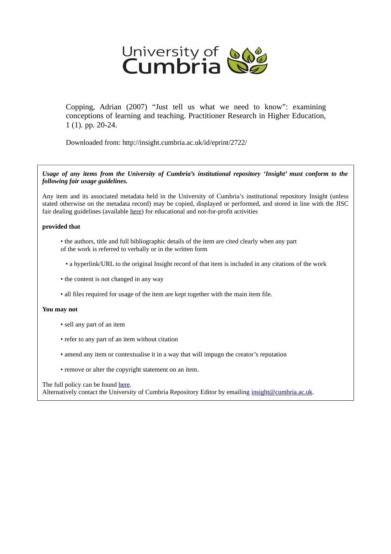

Copping, Adrian (2007) "Just tell us what we need to know": examining conceptions of learning and teaching. Practitioner Research in Higher Education, 1 (1). pp. 20-24.

Downloaded from: http://insight.cumbria.ac.uk/id/eprint/2722/

*Usage of any items from the University of Cumbria's institutional repository 'Insight' must conform to the following fair usage guidelines.*

Any item and its associated metadata held in the University of Cumbria's institutional repository Insight (unless stated otherwise on the metadata record) may be copied, displayed or performed, and stored in line with the JISC fair dealing guidelines (available [here\)](http://www.ukoln.ac.uk/services/elib/papers/pa/fair/) for educational and not-for-profit activities

# **provided that**

- the authors, title and full bibliographic details of the item are cited clearly when any part of the work is referred to verbally or in the written form
	- a hyperlink/URL to the original Insight record of that item is included in any citations of the work
- the content is not changed in any way
- all files required for usage of the item are kept together with the main item file.

# **You may not**

- sell any part of an item
- refer to any part of an item without citation
- amend any item or contextualise it in a way that will impugn the creator's reputation
- remove or alter the copyright statement on an item.

## The full policy can be found [here.](http://insight.cumbria.ac.uk/legal.html#section5)

Alternatively contact the University of Cumbria Repository Editor by emailing [insight@cumbria.ac.uk.](mailto:insight@cumbria.ac.uk)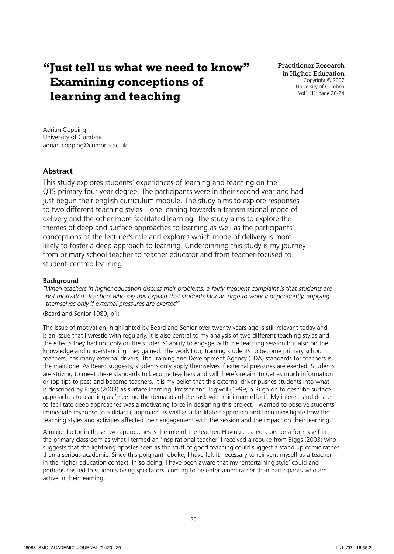# **" Just tell us what we need to know" Examining conceptions of learning and teaching**

Adrian Copping University of Cumbria adrian.copping@cumbria.ac.uk

# **Abstract**

This study explores students' experiences of learning and teaching on the QTS primary four year degree. The participants were in their second year and had just begun their english curriculum module. The study aims to explore responses to two different teaching styles—one leaning towards a transmissional mode of delivery and the other more facilitated learning. The study aims to explore the themes of deep and surface approaches to learning as well as the participants' conceptions of the lecturer's role and explores which mode of delivery is more likely to foster a deep approach to learning. Underpinning this study is my journey from primary school teacher to teacher educator and from teacher-focused to student-centred learning.

# **Background**

*" When teachers in higher education discuss their problems, a fairly frequent complaint is that students are not motivated. Teachers who say this explain that students lack an urge to work independently, applying themselves only if external pressures are exerted"*

(Beard and Senior 1980, p1)

The issue of motivation, highlighted by Beard and Senior over twenty years ago is still relevant today and is an issue that I wrestle with regularly. It is also central to my analysis of two different teaching styles and the effects they had not only on the students' ability to engage with the teaching session but also on the knowledge and understanding they gained. The work I do, training students to become primary school teachers, has many external drivers, The Training and Development Agency (TDA) standards for teachers is the main one. As Beard suggests, students only apply themselves if external pressures are exerted. Students are striving to meet these standards to become teachers and will therefore aim to get as much information or top tips to pass and become teachers. It is my belief that this external driver pushes students into what is described by Biggs (2003) as surface learning. Prosser and Trigwell (1999, p.3) go on to describe surface approaches to learning as 'meeting the demands of the task with minimum effort'. My interest and desire to facilitate deep approaches was a motivating force in designing this project. I wanted to observe students' immediate response to a didactic approach as well as a facilitated approach and then investigate how the teaching styles and activities affected their engagement with the session and the impact on their learning.

A major factor in these two approaches is the role of the teacher. Having created a persona for myself in the primary classroom as what I termed an 'inspirational teacher' I received a rebuke from Biggs (2003) who suggests that the lightning ripostes seen as the stuff of good teaching could suggest a stand up comic rather than a serious academic. Since this poignant rebuke, I have felt it necessary to reinvent myself as a teacher in the higher education context. In so doing, I have been aware that my 'entertaining style' could and perhaps has led to students being spectators, coming to be entertained rather than participants who are active in their learning.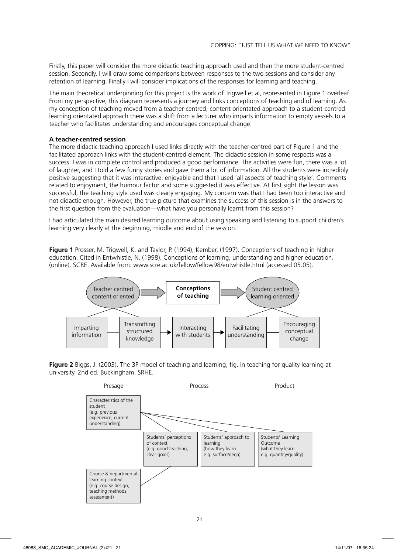Firstly, this paper will consider the more didactic teaching approach used and then the more student-centred session. Secondly, I will draw some comparisons between responses to the two sessions and consider any retention of learning. Finally I will consider implications of the responses for learning and teaching.

The main theoretical underpinning for this project is the work of Trigwell et al, represented in Figure 1 overleaf. From my perspective, this diagram represents a journey and links conceptions of teaching and of learning. As my conception of teaching moved from a teacher-centred, content orientated approach to a student-centred learning orientated approach there was a shift from a lecturer who imparts information to empty vessels to a teacher who facilitates understanding and encourages conceptual change.

## **A teacher-centred session**

The more didactic teaching approach I used links directly with the teacher-centred part of Figure 1 and the facilitated approach links with the student-centred element. The didactic session in some respects was a success. I was in complete control and produced a good performance. The activities were fun, there was a lot of laughter, and I told a few funny stories and gave them a lot of information. All the students were incredibly positive suggesting that it was interactive, enjoyable and that I used 'all aspects of teaching style'. Comments related to enjoyment, the humour factor and some suggested it was effective. At first sight the lesson was successful; the teaching style used was clearly engaging. My concern was that I had been too interactive and not didactic enough. However, the true picture that examines the success of this session is in the answers to the first question from the evaluation—what have you personally learnt from this session?

I had articulated the main desired learning outcome about using speaking and listening to support children's learning very clearly at the beginning, middle and end of the session.

**Figure 1** Prosser, M. Trigwell, K. and Taylor, P. (1994), Kember, (1997). Conceptions of teaching in higher education. Cited in Entwhistle, N. (1998). Conceptions of learning, understanding and higher education. (online). SCRE. Available from: www.scre.ac.uk/fellow/fellow98/entwhistle.html (accessed 05.05).



Figure 2 Biggs, J. (2003). The 3P model of teaching and learning, fig. In teaching for quality learning at university. 2nd ed. Buckingham. SRHE.

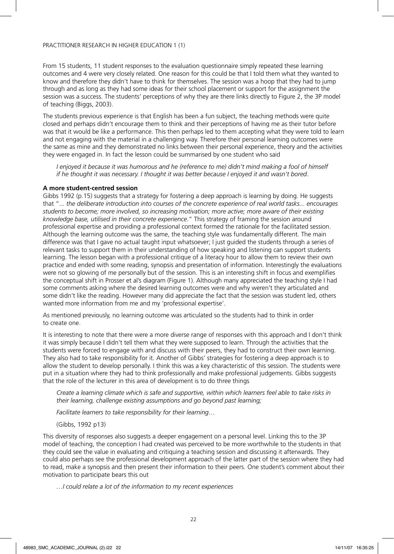From 15 students, 11 student responses to the evaluation questionnaire simply repeated these learning outcomes and 4 were very closely related. One reason for this could be that I told them what they wanted to know and therefore they didn't have to think for themselves. The session was a hoop that they had to jump through and as long as they had some ideas for their school placement or support for the assignment the session was a success. The students' perceptions of why they are there links directly to Figure 2, the 3P model of teaching (Biggs, 2003).

The students previous experience is that English has been a fun subject, the teaching methods were quite closed and perhaps didn't encourage them to think and their perceptions of having me as their tutor before was that it would be like a performance. This then perhaps led to them accepting what they were told to learn and not engaging with the material in a challenging way. Therefore their personal learning outcomes were the same as mine and they demonstrated no links between their personal experience, theory and the activities they were engaged in. In fact the lesson could be summarised by one student who said

*I* enjoyed it because it was humorous and he (reference to me) didn't mind making a fool of himself *if he thought it was necessary. I thought it was better because I enjoyed it and wasn't bored*.

#### **A more student-centred session**

Gibbs 1992 (p.15) suggests that a strategy for fostering a deep approach is learning by doing. He suggests that "... *the deliberate introduction into courses of the concrete experience of real world tasks... encourages students to become; more involved, so increasing motivation; more active; more aware of their existing knowledge base, utilised in their concrete experience*." This strategy of framing the session around professional expertise and providing a professional context formed the rationale for the facilitated session. Although the learning outcome was the same, the teaching style was fundamentally different. The main difference was that I gave no actual taught input whatsoever; I just guided the students through a series of relevant tasks to support them in their understanding of how speaking and listening can support students learning. The lesson began with a professional critique of a literacy hour to allow them to review their own practice and ended with some reading, synopsis and presentation of information. Interestingly the evaluations were not so glowing of me personally but of the session. This is an interesting shift in focus and exemplifies the conceptual shift in Prosser et al's diagram (Figure 1). Although many appreciated the teaching style I had some comments asking where the desired learning outcomes were and why weren't they articulated and some didn't like the reading. However many did appreciate the fact that the session was student led, others wanted more information from me and my 'professional expertise'.

As mentioned previously, no learning outcome was articulated so the students had to think in order to create one.

It is interesting to note that there were a more diverse range of responses with this approach and I don't think it was simply because I didn't tell them what they were supposed to learn. Through the activities that the students were forced to engage with and discuss with their peers, they had to construct their own learning. They also had to take responsibility for it. Another of Gibbs' strategies for fostering a deep approach is to allow the student to develop personally. I think this was a key characteristic of this session. The students were put in a situation where they had to think professionally and make professional judgements. Gibbs suggests that the role of the lecturer in this area of development is to do three things

 *Create a learning climate which is safe and supportive, within which learners feel able to take risks in their learning, challenge existing assumptions and go beyond past learning;*

 *Facilitate learners to take responsibility for their learning…*

(Gibbs, 1992 p13)

This diversity of responses also suggests a deeper engagement on a personal level. Linking this to the 3P model of teaching, the conception I had created was perceived to be more worthwhile to the students in that they could see the value in evaluating and critiquing a teaching session and discussing it afterwards. They could also perhaps see the professional development approach of the latter part of the session where they had to read, make a synopsis and then present their information to their peers. One student's comment about their motivation to participate bears this out

 *…I could relate a lot of the information to my recent experiences*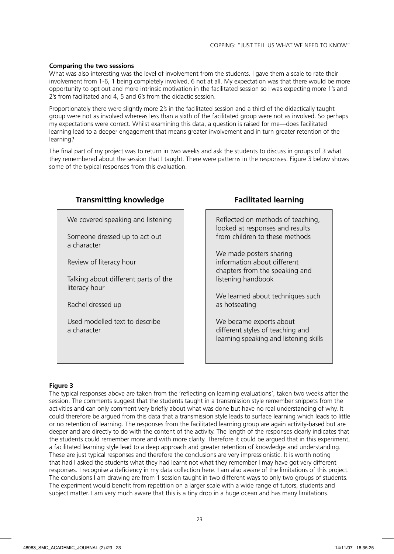## **Comparing the two sessions**

What was also interesting was the level of involvement from the students. I gave them a scale to rate their involvement from 1-6, 1 being completely involved, 6 not at all. My expectation was that there would be more opportunity to opt out and more intrinsic motivation in the facilitated session so I was expecting more 1's and 2's from facilitated and 4, 5 and 6's from the didactic session.

Proportionately there were slightly more 2's in the facilitated session and a third of the didactically taught group were not as involved whereas less than a sixth of the facilitated group were not as involved. So perhaps my expectations were correct. Whilst examining this data, a question is raised for me—does facilitated learning lead to a deeper engagement that means greater involvement and in turn greater retention of the learning?

The final part of my project was to return in two weeks and ask the students to discuss in groups of 3 what they remembered about the session that I taught. There were patterns in the responses. Figure 3 below shows some of the typical responses from this evaluation.

| Transmitting Knowledge                                |
|-------------------------------------------------------|
| We covered speaking and listening                     |
| Someone dressed up to act out<br>a character          |
| Review of literacy hour                               |
| Talking about different parts of the<br>literacy hour |
| Rachel dressed up                                     |
| Used modelled text to describe<br>a character         |
|                                                       |
|                                                       |

# **Transmitting knowledge Transmitting knowledge Facilitated learning**

Reflected on methods of teaching, looked at responses and results from children to these methods

We made posters sharing information about different chapters from the speaking and listening handbook

We learned about techniques such as hotseating

We became experts about different styles of teaching and learning speaking and listening skills

# **Figure 3**

The typical responses above are taken from the 'reflecting on learning evaluations', taken two weeks after the session. The comments suggest that the students taught in a transmission style remember snippets from the activities and can only comment very briefly about what was done but have no real understanding of why. It could therefore be argued from this data that a transmission style leads to surface learning which leads to little or no retention of learning. The responses from the facilitated learning group are again activity-based but are deeper and are directly to do with the content of the activity. The length of the responses clearly indicates that the students could remember more and with more clarity. Therefore it could be argued that in this experiment, a facilitated learning style lead to a deep approach and greater retention of knowledge and understanding. These are just typical responses and therefore the conclusions are very impressionistic. It is worth noting that had I asked the students what they had learnt not what they remember I may have got very different responses. I recognise a deficiency in my data collection here. I am also aware of the limitations of this project. The conclusions I am drawing are from 1 session taught in two different ways to only two groups of students. The experiment would benefit from repetition on a larger scale with a wide range of tutors, students and subject matter. I am very much aware that this is a tiny drop in a huge ocean and has many limitations.